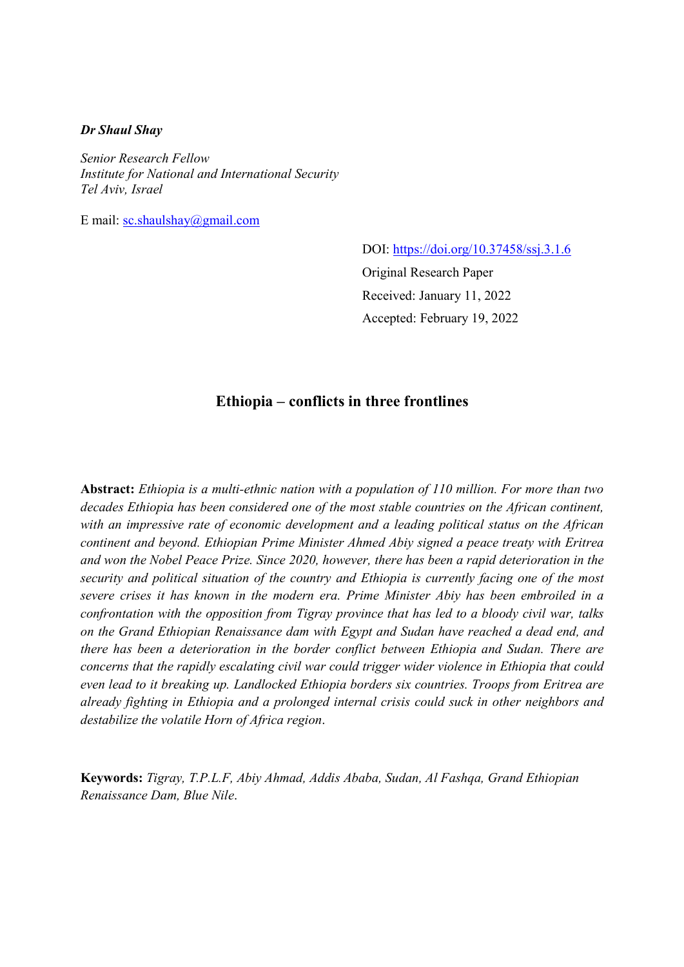### Dr Shaul Shay

Senior Research Fellow Institute for National and International Security Tel Aviv, Israel

E mail: sc.shaulshay@gmail.com

DOI: https://doi.org/10.37458/ssj.3.1.6

Original Research Paper Received: January 11, 2022 Accepted: February 19, 2022

# Ethiopia – conflicts in three frontlines

Abstract: Ethiopia is a multi-ethnic nation with a population of 110 million. For more than two decades Ethiopia has been considered one of the most stable countries on the African continent, with an impressive rate of economic development and a leading political status on the African continent and beyond. Ethiopian Prime Minister Ahmed Abiy signed a peace treaty with Eritrea and won the Nobel Peace Prize. Since 2020, however, there has been a rapid deterioration in the security and political situation of the country and Ethiopia is currently facing one of the most severe crises it has known in the modern era. Prime Minister Abiy has been embroiled in a confrontation with the opposition from Tigray province that has led to a bloody civil war, talks on the Grand Ethiopian Renaissance dam with Egypt and Sudan have reached a dead end, and there has been a deterioration in the border conflict between Ethiopia and Sudan. There are concerns that the rapidly escalating civil war could trigger wider violence in Ethiopia that could even lead to it breaking up. Landlocked Ethiopia borders six countries. Troops from Eritrea are already fighting in Ethiopia and a prolonged internal crisis could suck in other neighbors and destabilize the volatile Horn of Africa region.

Keywords: Tigray, T.P.L.F, Abiy Ahmad, Addis Ababa, Sudan, Al Fashqa, Grand Ethiopian Renaissance Dam, Blue Nile.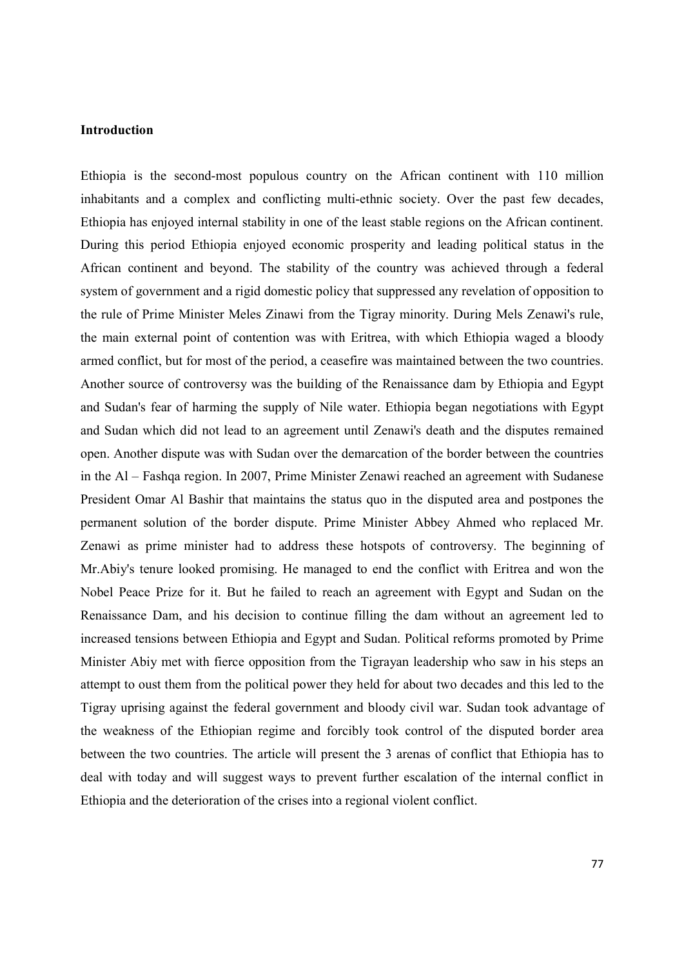# Introduction

Ethiopia is the second-most populous country on the African continent with 110 million inhabitants and a complex and conflicting multi-ethnic society. Over the past few decades, Ethiopia has enjoyed internal stability in one of the least stable regions on the African continent. During this period Ethiopia enjoyed economic prosperity and leading political status in the African continent and beyond. The stability of the country was achieved through a federal system of government and a rigid domestic policy that suppressed any revelation of opposition to the rule of Prime Minister Meles Zinawi from the Tigray minority. During Mels Zenawi's rule, the main external point of contention was with Eritrea, with which Ethiopia waged a bloody armed conflict, but for most of the period, a ceasefire was maintained between the two countries. Another source of controversy was the building of the Renaissance dam by Ethiopia and Egypt and Sudan's fear of harming the supply of Nile water. Ethiopia began negotiations with Egypt and Sudan which did not lead to an agreement until Zenawi's death and the disputes remained open. Another dispute was with Sudan over the demarcation of the border between the countries in the Al – Fashqa region. In 2007, Prime Minister Zenawi reached an agreement with Sudanese President Omar Al Bashir that maintains the status quo in the disputed area and postpones the permanent solution of the border dispute. Prime Minister Abbey Ahmed who replaced Mr. Zenawi as prime minister had to address these hotspots of controversy. The beginning of Mr.Abiy's tenure looked promising. He managed to end the conflict with Eritrea and won the Nobel Peace Prize for it. But he failed to reach an agreement with Egypt and Sudan on the Renaissance Dam, and his decision to continue filling the dam without an agreement led to increased tensions between Ethiopia and Egypt and Sudan. Political reforms promoted by Prime Minister Abiy met with fierce opposition from the Tigrayan leadership who saw in his steps an attempt to oust them from the political power they held for about two decades and this led to the Tigray uprising against the federal government and bloody civil war. Sudan took advantage of the weakness of the Ethiopian regime and forcibly took control of the disputed border area between the two countries. The article will present the 3 arenas of conflict that Ethiopia has to deal with today and will suggest ways to prevent further escalation of the internal conflict in Ethiopia and the deterioration of the crises into a regional violent conflict.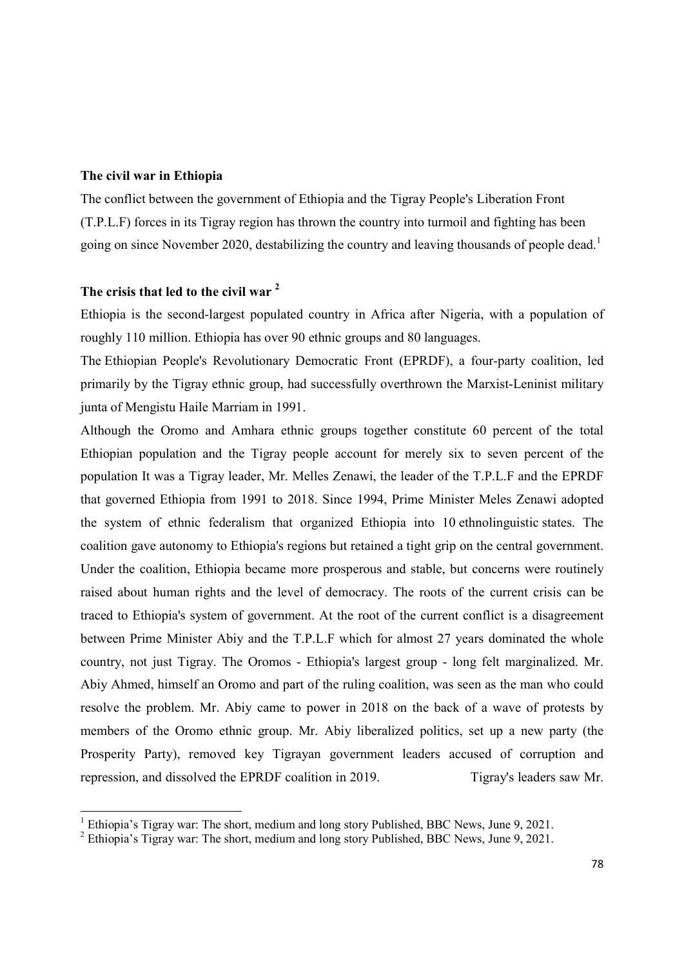### The civil war in Ethiopia

-

The conflict between the government of Ethiopia and the Tigray People's Liberation Front (T.P.L.F) forces in its Tigray region has thrown the country into turmoil and fighting has been going on since November 2020, destabilizing the country and leaving thousands of people dead.<sup>1</sup>

# The crisis that led to the civil war<sup>2</sup>

Ethiopia is the second-largest populated country in Africa after Nigeria, with a population of roughly 110 million. Ethiopia has over 90 ethnic groups and 80 languages.

The Ethiopian People's Revolutionary Democratic Front (EPRDF), a four-party coalition, led primarily by the Tigray ethnic group, had successfully overthrown the Marxist-Leninist military junta of Mengistu Haile Marriam in 1991.

Although the Oromo and Amhara ethnic groups together constitute 60 percent of the total Ethiopian population and the Tigray people account for merely six to seven percent of the population It was a Tigray leader, Mr. Melles Zenawi, the leader of the T.P.L.F and the EPRDF that governed Ethiopia from 1991 to 2018. Since 1994, Prime Minister Meles Zenawi adopted the system of ethnic federalism that organized Ethiopia into 10 ethnolinguistic states. The coalition gave autonomy to Ethiopia's regions but retained a tight grip on the central government. Under the coalition, Ethiopia became more prosperous and stable, but concerns were routinely raised about human rights and the level of democracy. The roots of the current crisis can be traced to Ethiopia's system of government. At the root of the current conflict is a disagreement between Prime Minister Abiy and the T.P.L.F which for almost 27 years dominated the whole country, not just Tigray. The Oromos - Ethiopia's largest group - long felt marginalized. Mr. Abiy Ahmed, himself an Oromo and part of the ruling coalition, was seen as the man who could resolve the problem. Mr. Abiy came to power in 2018 on the back of a wave of protests by members of the Oromo ethnic group. Mr. Abiy liberalized politics, set up a new party (the Prosperity Party), removed key Tigrayan government leaders accused of corruption and repression, and dissolved the EPRDF coalition in 2019. Tigray's leaders saw Mr.

<sup>&</sup>lt;sup>1</sup> Ethiopia's Tigray war: The short, medium and long story Published, BBC News, June 9, 2021.

 $2$  Ethiopia's Tigray war: The short, medium and long story Published, BBC News, June 9, 2021.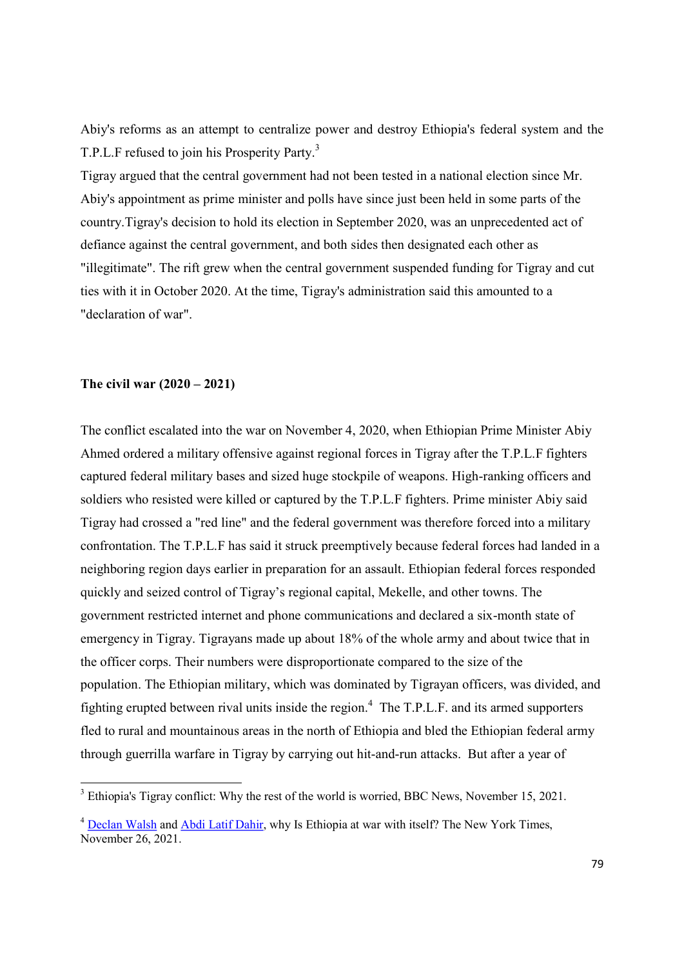Abiy's reforms as an attempt to centralize power and destroy Ethiopia's federal system and the T.P.L.F refused to join his Prosperity Party.<sup>3</sup>

Tigray argued that the central government had not been tested in a national election since Mr. Abiy's appointment as prime minister and polls have since just been held in some parts of the country.Tigray's decision to hold its election in September 2020, was an unprecedented act of defiance against the central government, and both sides then designated each other as "illegitimate". The rift grew when the central government suspended funding for Tigray and cut ties with it in October 2020. At the time, Tigray's administration said this amounted to a "declaration of war".

### The civil war (2020 – 2021)

The conflict escalated into the war on November 4, 2020, when Ethiopian Prime Minister Abiy Ahmed ordered a military offensive against regional forces in Tigray after the T.P.L.F fighters captured federal military bases and sized huge stockpile of weapons. High-ranking officers and soldiers who resisted were killed or captured by the T.P.L.F fighters. Prime minister Abiy said Tigray had crossed a "red line" and the federal government was therefore forced into a military confrontation. The T.P.L.F has said it struck preemptively because federal forces had landed in a neighboring region days earlier in preparation for an assault. Ethiopian federal forces responded quickly and seized control of Tigray's regional capital, Mekelle, and other towns. The government restricted internet and phone communications and declared a six-month state of emergency in Tigray. Tigrayans made up about 18% of the whole army and about twice that in the officer corps. Their numbers were disproportionate compared to the size of the population. The Ethiopian military, which was dominated by Tigrayan officers, was divided, and fighting erupted between rival units inside the region.<sup>4</sup> The T.P.L.F. and its armed supporters fled to rural and mountainous areas in the north of Ethiopia and bled the Ethiopian federal army through guerrilla warfare in Tigray by carrying out hit-and-run attacks. But after a year of

<sup>&</sup>lt;sup>3</sup> Ethiopia's Tigray conflict: Why the rest of the world is worried, BBC News, November 15, 2021.

<sup>&</sup>lt;sup>4</sup> Declan Walsh and Abdi Latif Dahir, why Is Ethiopia at war with itself? The New York Times, November 26, 2021.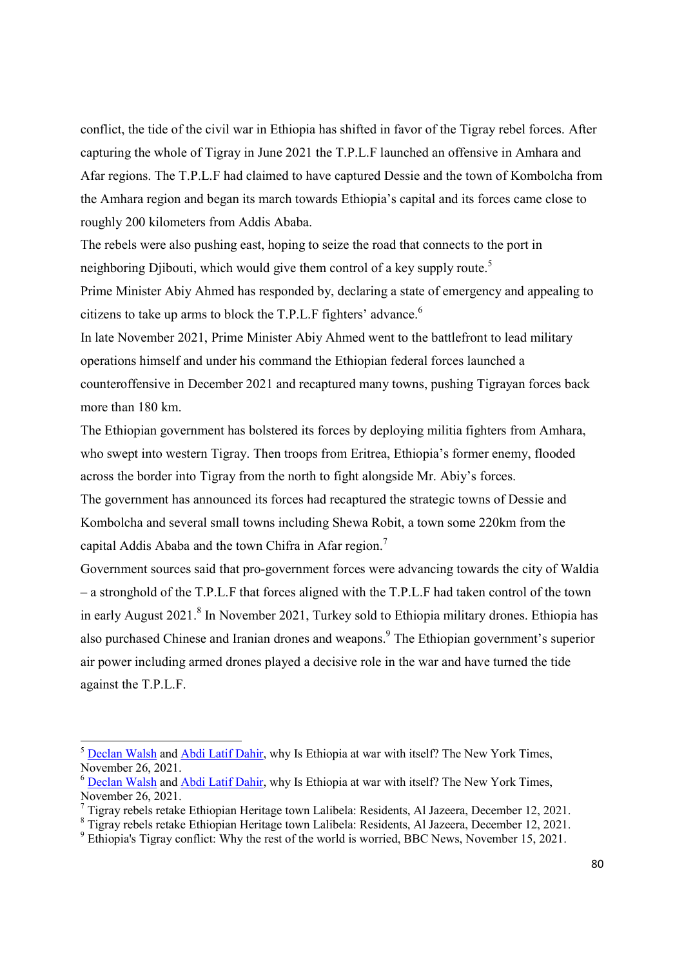conflict, the tide of the civil war in Ethiopia has shifted in favor of the Tigray rebel forces. After capturing the whole of Tigray in June 2021 the T.P.L.F launched an offensive in Amhara and Afar regions. The T.P.L.F had claimed to have captured Dessie and the town of Kombolcha from the Amhara region and began its march towards Ethiopia's capital and its forces came close to roughly 200 kilometers from Addis Ababa.

The rebels were also pushing east, hoping to seize the road that connects to the port in neighboring Djibouti, which would give them control of a key supply route.<sup>5</sup>

Prime Minister Abiy Ahmed has responded by, declaring a state of emergency and appealing to citizens to take up arms to block the T.P.L.F fighters' advance.<sup>6</sup>

In late November 2021, Prime Minister Abiy Ahmed went to the battlefront to lead military operations himself and under his command the Ethiopian federal forces launched a counteroffensive in December 2021 and recaptured many towns, pushing Tigrayan forces back more than 180 km.

The Ethiopian government has bolstered its forces by deploying militia fighters from Amhara, who swept into western Tigray. Then troops from Eritrea, Ethiopia's former enemy, flooded across the border into Tigray from the north to fight alongside Mr. Abiy's forces.

The government has announced its forces had recaptured the strategic towns of Dessie and Kombolcha and several small towns including Shewa Robit, a town some 220km from the capital Addis Ababa and the town Chifra in Afar region.<sup>7</sup>

Government sources said that pro-government forces were advancing towards the city of Waldia – a stronghold of the T.P.L.F that forces aligned with the T.P.L.F had taken control of the town in early August 2021.<sup>8</sup> In November 2021, Turkey sold to Ethiopia military drones. Ethiopia has also purchased Chinese and Iranian drones and weapons. The Ethiopian government's superior air power including armed drones played a decisive role in the war and have turned the tide against the T.P.L.F.

<sup>&</sup>lt;sup>5</sup> Declan Walsh and Abdi Latif Dahir, why Is Ethiopia at war with itself? The New York Times, November 26, 2021.

<sup>&</sup>lt;sup>6</sup> Declan Walsh and Abdi Latif Dahir, why Is Ethiopia at war with itself? The New York Times, November 26, 2021.

 $^7$  Tigray rebels retake Ethiopian Heritage town Lalibela: Residents, Al Jazeera, December 12, 2021.

<sup>&</sup>lt;sup>8</sup> Tigray rebels retake Ethiopian Heritage town Lalibela: Residents, Al Jazeera, December 12, 2021.

<sup>&</sup>lt;sup>9</sup> Ethiopia's Tigray conflict: Why the rest of the world is worried, BBC News, November 15, 2021.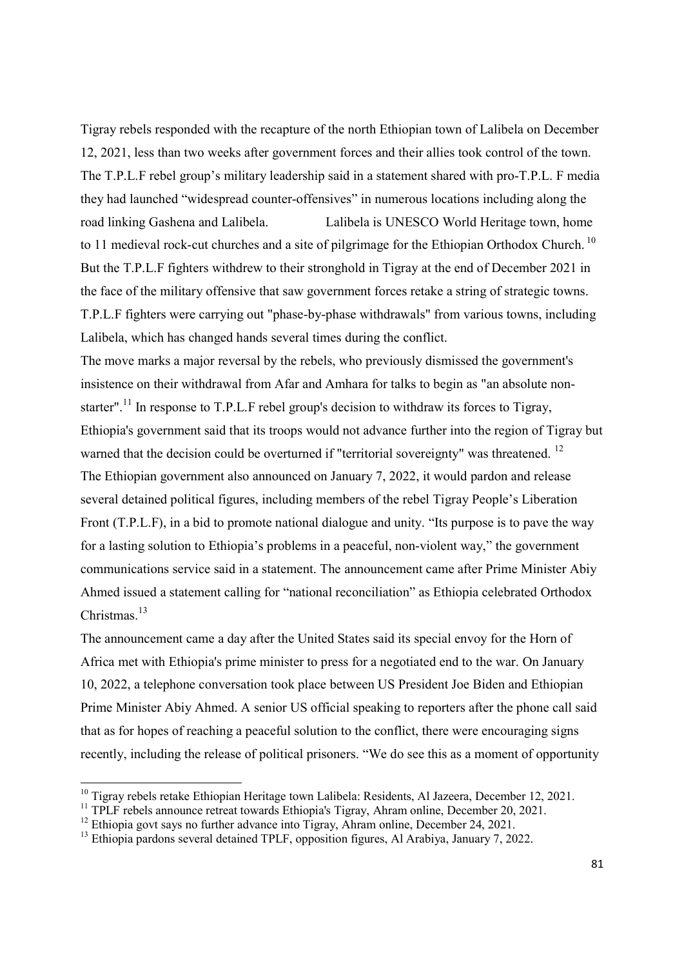Tigray rebels responded with the recapture of the north Ethiopian town of Lalibela on December 12, 2021, less than two weeks after government forces and their allies took control of the town. The T.P.L.F rebel group's military leadership said in a statement shared with pro-T.P.L. F media they had launched "widespread counter-offensives" in numerous locations including along the road linking Gashena and Lalibela. Lalibela is UNESCO World Heritage town, home to 11 medieval rock-cut churches and a site of pilgrimage for the Ethiopian Orthodox Church.<sup>10</sup> But the T.P.L.F fighters withdrew to their stronghold in Tigray at the end of December 2021 in the face of the military offensive that saw government forces retake a string of strategic towns. T.P.L.F fighters were carrying out "phase-by-phase withdrawals" from various towns, including Lalibela, which has changed hands several times during the conflict.

The move marks a major reversal by the rebels, who previously dismissed the government's insistence on their withdrawal from Afar and Amhara for talks to begin as "an absolute nonstarter".<sup>11</sup> In response to T.P.L.F rebel group's decision to withdraw its forces to Tigray, Ethiopia's government said that its troops would not advance further into the region of Tigray but warned that the decision could be overturned if "territorial sovereignty" was threatened.<sup>12</sup> The Ethiopian government also announced on January 7, 2022, it would pardon and release several detained political figures, including members of the rebel Tigray People's Liberation Front (T.P.L.F), in a bid to promote national dialogue and unity. "Its purpose is to pave the way for a lasting solution to Ethiopia's problems in a peaceful, non-violent way," the government communications service said in a statement. The announcement came after Prime Minister Abiy Ahmed issued a statement calling for "national reconciliation" as Ethiopia celebrated Orthodox Christmas.<sup>13</sup>

The announcement came a day after the United States said its special envoy for the Horn of Africa met with Ethiopia's prime minister to press for a negotiated end to the war. On January 10, 2022, a telephone conversation took place between US President Joe Biden and Ethiopian Prime Minister Abiy Ahmed. A senior US official speaking to reporters after the phone call said that as for hopes of reaching a peaceful solution to the conflict, there were encouraging signs recently, including the release of political prisoners. "We do see this as a moment of opportunity

 $10$  Tigray rebels retake Ethiopian Heritage town Lalibela: Residents, Al Jazeera, December 12, 2021.

<sup>&</sup>lt;sup>11</sup> TPLF rebels announce retreat towards Ethiopia's Tigray, Ahram online, December 20, 2021.

 $12$  Ethiopia govt says no further advance into Tigray, Ahram online, December 24, 2021.

<sup>&</sup>lt;sup>13</sup> Ethiopia pardons several detained TPLF, opposition figures, Al Arabiya, January 7, 2022.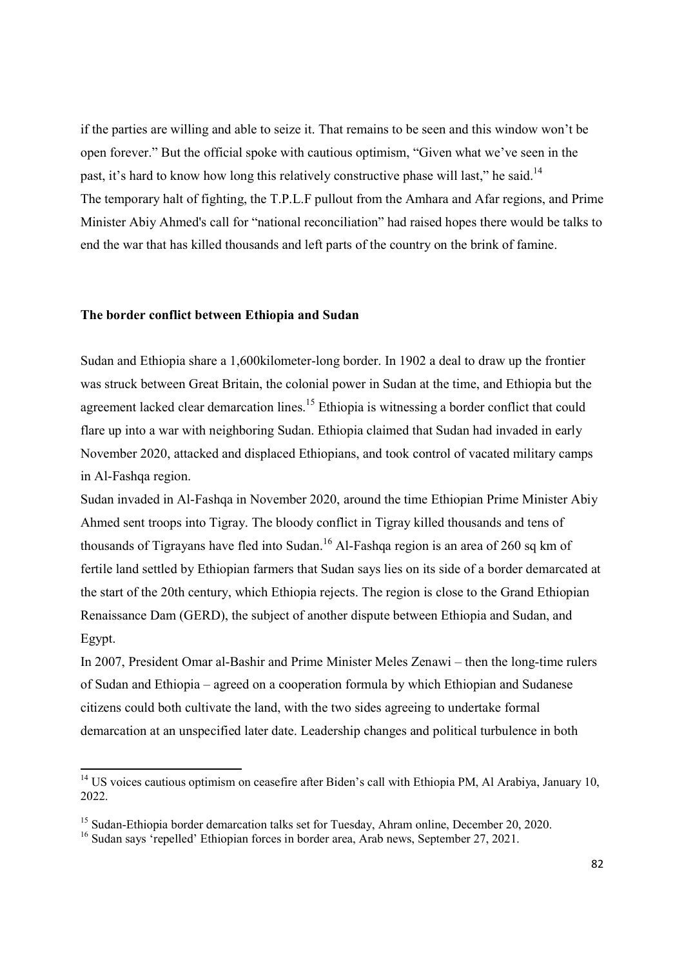if the parties are willing and able to seize it. That remains to be seen and this window won't be open forever." But the official spoke with cautious optimism, "Given what we've seen in the past, it's hard to know how long this relatively constructive phase will last," he said.<sup>14</sup> The temporary halt of fighting, the T.P.L.F pullout from the Amhara and Afar regions, and Prime Minister Abiy Ahmed's call for "national reconciliation" had raised hopes there would be talks to end the war that has killed thousands and left parts of the country on the brink of famine.

#### The border conflict between Ethiopia and Sudan

-

Sudan and Ethiopia share a 1,600kilometer-long border. In 1902 a deal to draw up the frontier was struck between Great Britain, the colonial power in Sudan at the time, and Ethiopia but the agreement lacked clear demarcation lines.<sup>15</sup> Ethiopia is witnessing a border conflict that could flare up into a war with neighboring Sudan. Ethiopia claimed that Sudan had invaded in early November 2020, attacked and displaced Ethiopians, and took control of vacated military camps in Al-Fashqa region.

Sudan invaded in Al-Fashqa in November 2020, around the time Ethiopian Prime Minister Abiy Ahmed sent troops into Tigray. The bloody conflict in Tigray killed thousands and tens of thousands of Tigrayans have fled into Sudan.<sup>16</sup> Al-Fashqa region is an area of 260 sq km of fertile land settled by Ethiopian farmers that Sudan says lies on its side of a border demarcated at the start of the 20th century, which Ethiopia rejects. The region is close to the Grand Ethiopian Renaissance Dam (GERD), the subject of another dispute between Ethiopia and Sudan, and Egypt.

In 2007, President Omar al-Bashir and Prime Minister Meles Zenawi – then the long-time rulers of Sudan and Ethiopia – agreed on a cooperation formula by which Ethiopian and Sudanese citizens could both cultivate the land, with the two sides agreeing to undertake formal demarcation at an unspecified later date. Leadership changes and political turbulence in both

<sup>&</sup>lt;sup>14</sup> US voices cautious optimism on ceasefire after Biden's call with Ethiopia PM, Al Arabiya, January 10, 2022.

<sup>&</sup>lt;sup>15</sup> Sudan-Ethiopia border demarcation talks set for Tuesday, Ahram online, December 20, 2020.

<sup>&</sup>lt;sup>16</sup> Sudan says 'repelled' Ethiopian forces in border area, Arab news, September 27, 2021.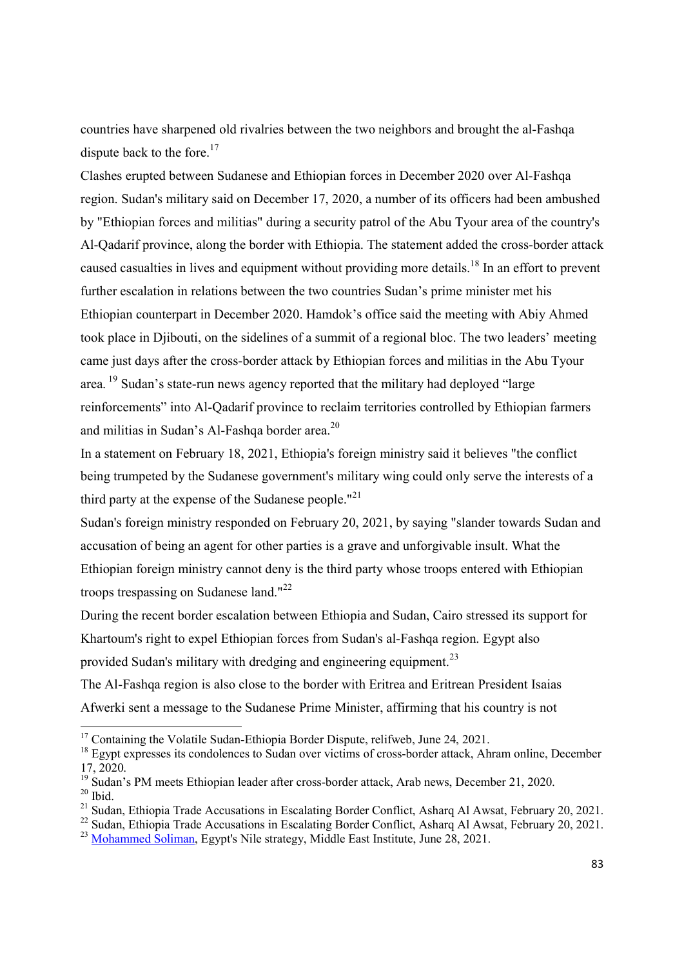countries have sharpened old rivalries between the two neighbors and brought the al-Fashqa dispute back to the fore.<sup>17</sup>

Clashes erupted between Sudanese and Ethiopian forces in December 2020 over Al-Fashqa region. Sudan's military said on December 17, 2020, a number of its officers had been ambushed by "Ethiopian forces and militias" during a security patrol of the Abu Tyour area of the country's Al-Qadarif province, along the border with Ethiopia. The statement added the cross-border attack caused casualties in lives and equipment without providing more details.<sup>18</sup> In an effort to prevent further escalation in relations between the two countries Sudan's prime minister met his Ethiopian counterpart in December 2020. Hamdok's office said the meeting with Abiy Ahmed took place in Djibouti, on the sidelines of a summit of a regional bloc. The two leaders' meeting came just days after the cross-border attack by Ethiopian forces and militias in the Abu Tyour area.<sup>19</sup> Sudan's state-run news agency reported that the military had deployed "large" reinforcements" into Al-Qadarif province to reclaim territories controlled by Ethiopian farmers and militias in Sudan's Al-Fashqa border area.<sup>20</sup>

In a statement on February 18, 2021, Ethiopia's foreign ministry said it believes "the conflict being trumpeted by the Sudanese government's military wing could only serve the interests of a third party at the expense of the Sudanese people." $^{21}$ 

Sudan's foreign ministry responded on February 20, 2021, by saying "slander towards Sudan and accusation of being an agent for other parties is a grave and unforgivable insult. What the Ethiopian foreign ministry cannot deny is the third party whose troops entered with Ethiopian troops trespassing on Sudanese land."<sup>22</sup>

During the recent border escalation between Ethiopia and Sudan, Cairo stressed its support for Khartoum's right to expel Ethiopian forces from Sudan's al-Fashqa region. Egypt also provided Sudan's military with dredging and engineering equipment.<sup>23</sup>

The Al-Fashqa region is also close to the border with Eritrea and Eritrean President Isaias Afwerki sent a message to the Sudanese Prime Minister, affirming that his country is not

<sup>&</sup>lt;sup>17</sup> Containing the Volatile Sudan-Ethiopia Border Dispute, relifweb, June 24, 2021.

<sup>&</sup>lt;sup>18</sup> Egypt expresses its condolences to Sudan over victims of cross-border attack, Ahram online, December 17, 2020.

<sup>&</sup>lt;sup>19</sup> Sudan's PM meets Ethiopian leader after cross-border attack, Arab news, December 21, 2020.  $20$  Ibid.

<sup>&</sup>lt;sup>21</sup> Sudan, Ethiopia Trade Accusations in Escalating Border Conflict, Asharq Al Awsat, February 20, 2021.

<sup>&</sup>lt;sup>22</sup> Sudan, Ethiopia Trade Accusations in Escalating Border Conflict, Asharq Al Awsat, February 20, 2021. <sup>23</sup> Mohammed Soliman, Egypt's Nile strategy, Middle East Institute, June 28, 2021.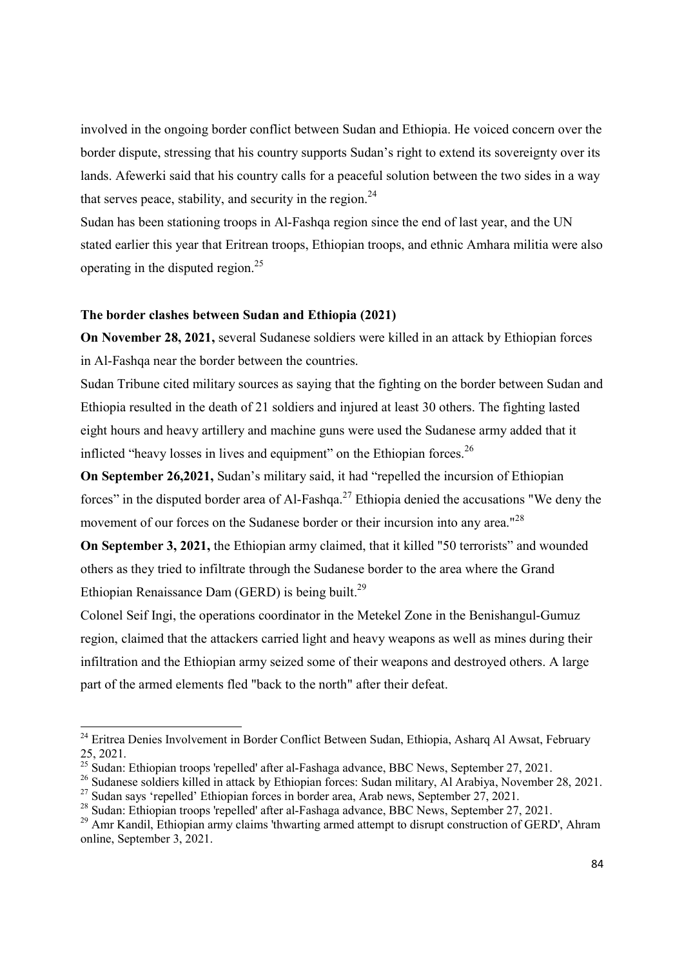involved in the ongoing border conflict between Sudan and Ethiopia. He voiced concern over the border dispute, stressing that his country supports Sudan's right to extend its sovereignty over its lands. Afewerki said that his country calls for a peaceful solution between the two sides in a way that serves peace, stability, and security in the region.  $24$ 

Sudan has been stationing troops in Al-Fashqa region since the end of last year, and the UN stated earlier this year that Eritrean troops, Ethiopian troops, and ethnic Amhara militia were also operating in the disputed region.<sup>25</sup>

# The border clashes between Sudan and Ethiopia (2021)

-

On November 28, 2021, several Sudanese soldiers were killed in an attack by Ethiopian forces in Al-Fashqa near the border between the countries.

Sudan Tribune cited military sources as saying that the fighting on the border between Sudan and Ethiopia resulted in the death of 21 soldiers and injured at least 30 others. The fighting lasted eight hours and heavy artillery and machine guns were used the Sudanese army added that it inflicted "heavy losses in lives and equipment" on the Ethiopian forces.<sup>26</sup>

On September 26,2021, Sudan's military said, it had "repelled the incursion of Ethiopian forces" in the disputed border area of Al-Fashqa.<sup>27</sup> Ethiopia denied the accusations "We deny the movement of our forces on the Sudanese border or their incursion into any area."<sup>28</sup>

On September 3, 2021, the Ethiopian army claimed, that it killed "50 terrorists" and wounded others as they tried to infiltrate through the Sudanese border to the area where the Grand Ethiopian Renaissance Dam (GERD) is being built.<sup>29</sup>

Colonel Seif Ingi, the operations coordinator in the Metekel Zone in the Benishangul-Gumuz region, claimed that the attackers carried light and heavy weapons as well as mines during their infiltration and the Ethiopian army seized some of their weapons and destroyed others. A large part of the armed elements fled "back to the north" after their defeat.

<sup>&</sup>lt;sup>24</sup> Eritrea Denies Involvement in Border Conflict Between Sudan, Ethiopia, Asharq Al Awsat, February 25, 2021.

 $25$  Sudan: Ethiopian troops 'repelled' after al-Fashaga advance, BBC News, September 27, 2021.

<sup>&</sup>lt;sup>26</sup> Sudanese soldiers killed in attack by Ethiopian forces: Sudan military, Al Arabiya, November 28, 2021.

 $^{27}$  Sudan says 'repelled' Ethiopian forces in border area, Arab news, September 27, 2021.

<sup>&</sup>lt;sup>28</sup> Sudan: Ethiopian troops 'repelled' after al-Fashaga advance, BBC News, September 27, 2021.

<sup>&</sup>lt;sup>29</sup> Amr Kandil, Ethiopian army claims 'thwarting armed attempt to disrupt construction of GERD', Ahram online, September 3, 2021.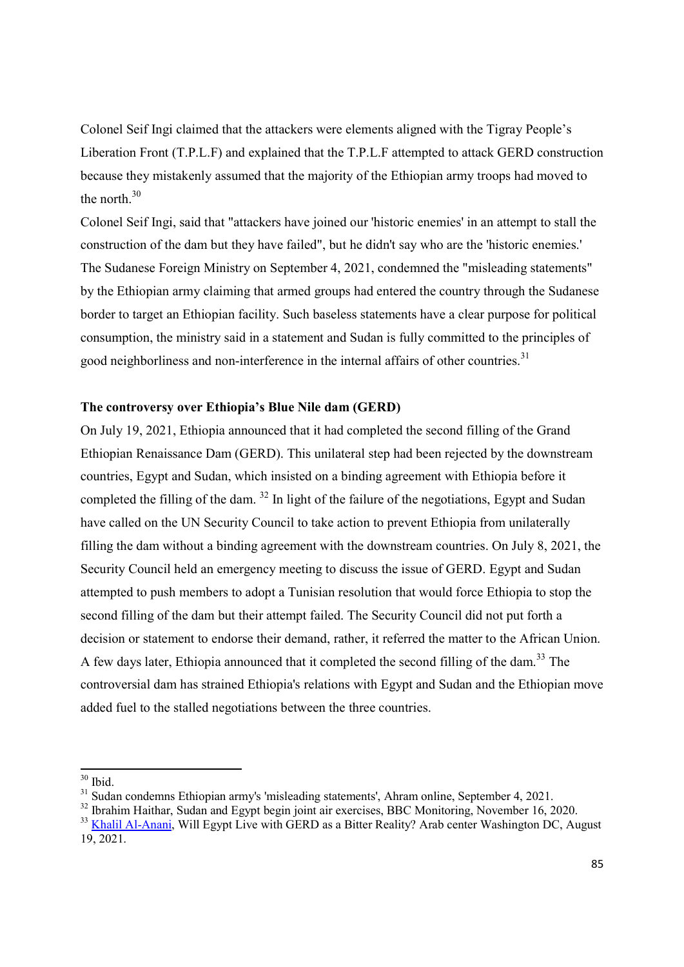Colonel Seif Ingi claimed that the attackers were elements aligned with the Tigray People's Liberation Front (T.P.L.F) and explained that the T.P.L.F attempted to attack GERD construction because they mistakenly assumed that the majority of the Ethiopian army troops had moved to the north.<sup>30</sup>

Colonel Seif Ingi, said that "attackers have joined our 'historic enemies' in an attempt to stall the construction of the dam but they have failed", but he didn't say who are the 'historic enemies.' The Sudanese Foreign Ministry on September 4, 2021, condemned the "misleading statements" by the Ethiopian army claiming that armed groups had entered the country through the Sudanese border to target an Ethiopian facility. Such baseless statements have a clear purpose for political consumption, the ministry said in a statement and Sudan is fully committed to the principles of good neighborliness and non-interference in the internal affairs of other countries.<sup>31</sup>

# The controversy over Ethiopia's Blue Nile dam (GERD)

On July 19, 2021, Ethiopia announced that it had completed the second filling of the Grand Ethiopian Renaissance Dam (GERD). This unilateral step had been rejected by the downstream countries, Egypt and Sudan, which insisted on a binding agreement with Ethiopia before it completed the filling of the dam.  $32$  In light of the failure of the negotiations, Egypt and Sudan have called on the UN Security Council to take action to prevent Ethiopia from unilaterally filling the dam without a binding agreement with the downstream countries. On July 8, 2021, the Security Council held an emergency meeting to discuss the issue of GERD. Egypt and Sudan attempted to push members to adopt a Tunisian resolution that would force Ethiopia to stop the second filling of the dam but their attempt failed. The Security Council did not put forth a decision or statement to endorse their demand, rather, it referred the matter to the African Union. A few days later, Ethiopia announced that it completed the second filling of the dam.<sup>33</sup> The controversial dam has strained Ethiopia's relations with Egypt and Sudan and the Ethiopian move added fuel to the stalled negotiations between the three countries.

 $30$  Ibid.

<sup>&</sup>lt;sup>31</sup> Sudan condemns Ethiopian army's 'misleading statements', Ahram online, September 4, 2021.

<sup>&</sup>lt;sup>32</sup> Ibrahim Haithar, Sudan and Egypt begin joint air exercises, BBC Monitoring, November 16, 2020.

<sup>&</sup>lt;sup>33</sup> Khalil Al-Anani, Will Egypt Live with GERD as a Bitter Reality? Arab center Washington DC, August 19, 2021.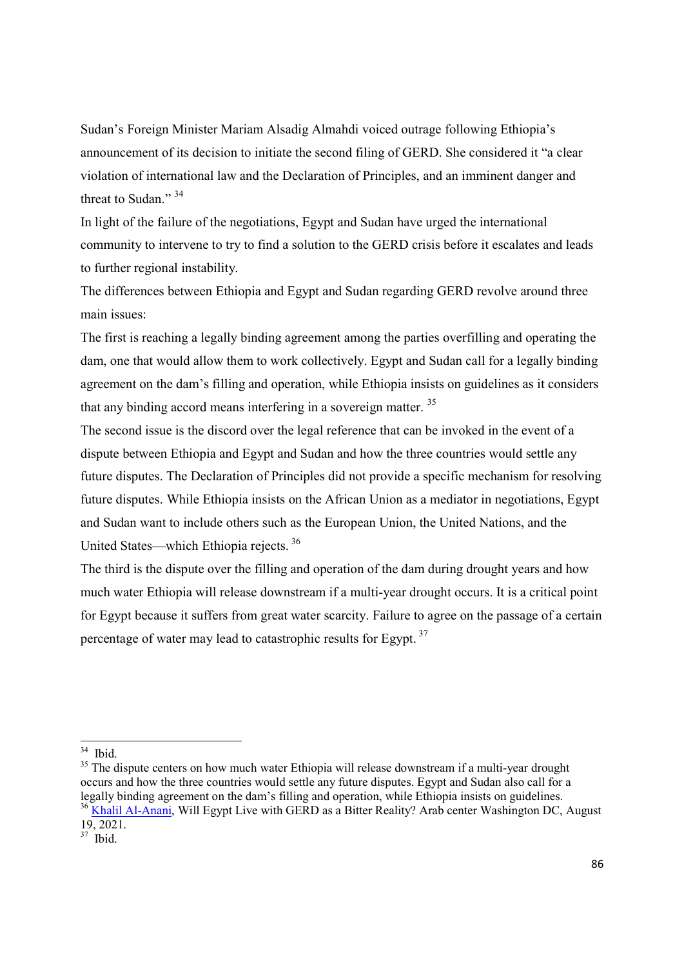Sudan's Foreign Minister Mariam Alsadig Almahdi voiced outrage following Ethiopia's announcement of its decision to initiate the second filing of GERD. She considered it "a clear violation of international law and the Declaration of Principles, and an imminent danger and threat to Sudan."<sup>34</sup>

In light of the failure of the negotiations, Egypt and Sudan have urged the international community to intervene to try to find a solution to the GERD crisis before it escalates and leads to further regional instability.

The differences between Ethiopia and Egypt and Sudan regarding GERD revolve around three main issues:

The first is reaching a legally binding agreement among the parties overfilling and operating the dam, one that would allow them to work collectively. Egypt and Sudan call for a legally binding agreement on the dam's filling and operation, while Ethiopia insists on guidelines as it considers that any binding accord means interfering in a sovereign matter.<sup>35</sup>

The second issue is the discord over the legal reference that can be invoked in the event of a dispute between Ethiopia and Egypt and Sudan and how the three countries would settle any future disputes. The Declaration of Principles did not provide a specific mechanism for resolving future disputes. While Ethiopia insists on the African Union as a mediator in negotiations, Egypt and Sudan want to include others such as the European Union, the United Nations, and the United States—which Ethiopia rejects.<sup>36</sup>

The third is the dispute over the filling and operation of the dam during drought years and how much water Ethiopia will release downstream if a multi-year drought occurs. It is a critical point for Egypt because it suffers from great water scarcity. Failure to agree on the passage of a certain percentage of water may lead to catastrophic results for Egypt.<sup>37</sup>

 $34$  Ibid.

<sup>&</sup>lt;sup>35</sup> The dispute centers on how much water Ethiopia will release downstream if a multi-year drought occurs and how the three countries would settle any future disputes. Egypt and Sudan also call for a legally binding agreement on the dam's filling and operation, while Ethiopia insists on guidelines. <sup>36</sup> Khalil Al-Anani, Will Egypt Live with GERD as a Bitter Reality? Arab center Washington DC, August 19, 2021.

 $37$  Ibid.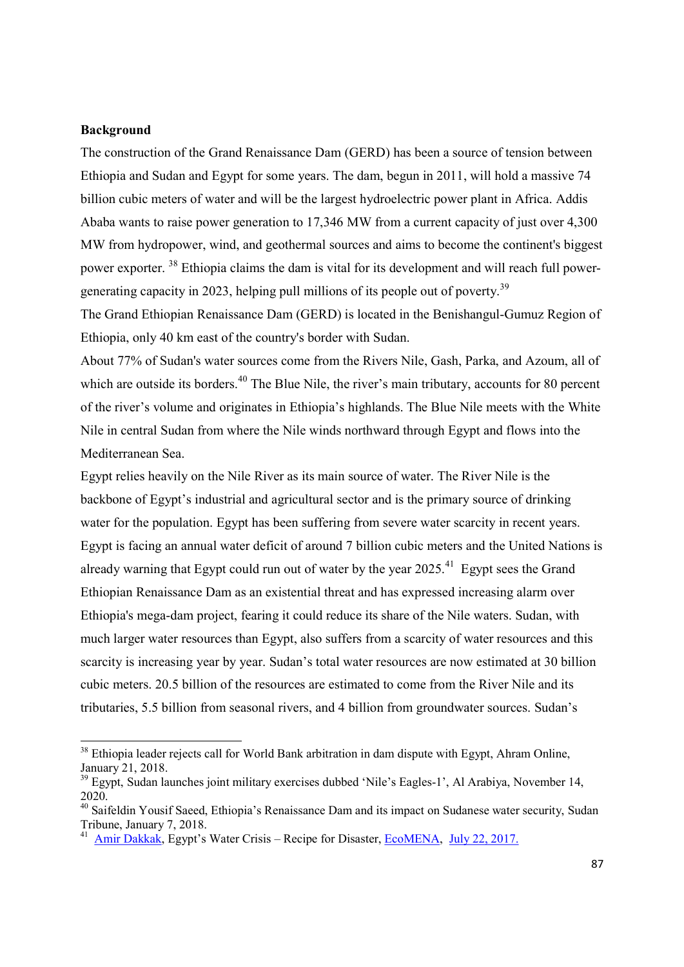# Background

-

The construction of the Grand Renaissance Dam (GERD) has been a source of tension between Ethiopia and Sudan and Egypt for some years. The dam, begun in 2011, will hold a massive 74 billion cubic meters of water and will be the largest hydroelectric power plant in Africa. Addis Ababa wants to raise power generation to 17,346 MW from a current capacity of just over 4,300 MW from hydropower, wind, and geothermal sources and aims to become the continent's biggest power exporter. <sup>38</sup> Ethiopia claims the dam is vital for its development and will reach full powergenerating capacity in 2023, helping pull millions of its people out of poverty.<sup>39</sup>

The Grand Ethiopian Renaissance Dam (GERD) is located in the Benishangul-Gumuz Region of Ethiopia, only 40 km east of the country's border with Sudan.

About 77% of Sudan's water sources come from the Rivers Nile, Gash, Parka, and Azoum, all of which are outside its borders.<sup>40</sup> The Blue Nile, the river's main tributary, accounts for 80 percent of the river's volume and originates in Ethiopia's highlands. The Blue Nile meets with the White Nile in central Sudan from where the Nile winds northward through Egypt and flows into the Mediterranean Sea.

Egypt relies heavily on the Nile River as its main source of water. The River Nile is the backbone of Egypt's industrial and agricultural sector and is the primary source of drinking water for the population. Egypt has been suffering from severe water scarcity in recent years. Egypt is facing an annual water deficit of around 7 billion cubic meters and the United Nations is already warning that Egypt could run out of water by the year  $2025.^{41}$  Egypt sees the Grand Ethiopian Renaissance Dam as an existential threat and has expressed increasing alarm over Ethiopia's mega-dam project, fearing it could reduce its share of the Nile waters. Sudan, with much larger water resources than Egypt, also suffers from a scarcity of water resources and this scarcity is increasing year by year. Sudan's total water resources are now estimated at 30 billion cubic meters. 20.5 billion of the resources are estimated to come from the River Nile and its tributaries, 5.5 billion from seasonal rivers, and 4 billion from groundwater sources. Sudan's

<sup>&</sup>lt;sup>38</sup> Ethiopia leader rejects call for World Bank arbitration in dam dispute with Egypt, Ahram Online, January 21, 2018.

<sup>&</sup>lt;sup>39</sup> Egypt, Sudan launches joint military exercises dubbed 'Nile's Eagles-1', Al Arabiya, November 14, 2020.

<sup>40</sup> Saifeldin Yousif Saeed, Ethiopia's Renaissance Dam and its impact on Sudanese water security, Sudan Tribune, January 7, 2018.

<sup>&</sup>lt;sup>41</sup> Amir Dakkak, Egypt's Water Crisis – Recipe for Disaster, EcoMENA, July 22, 2017.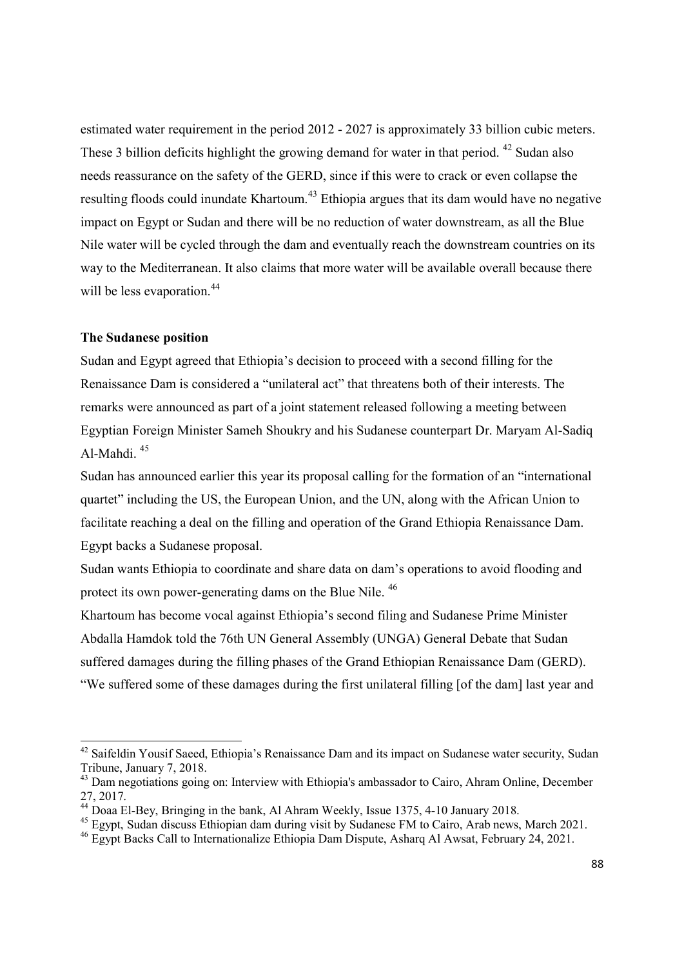estimated water requirement in the period 2012 - 2027 is approximately 33 billion cubic meters. These 3 billion deficits highlight the growing demand for water in that period.  $42$  Sudan also needs reassurance on the safety of the GERD, since if this were to crack or even collapse the resulting floods could inundate Khartoum.<sup>43</sup> Ethiopia argues that its dam would have no negative impact on Egypt or Sudan and there will be no reduction of water downstream, as all the Blue Nile water will be cycled through the dam and eventually reach the downstream countries on its way to the Mediterranean. It also claims that more water will be available overall because there will be less evaporation.<sup>44</sup>

### The Sudanese position

-

Sudan and Egypt agreed that Ethiopia's decision to proceed with a second filling for the Renaissance Dam is considered a "unilateral act" that threatens both of their interests. The remarks were announced as part of a joint statement released following a meeting between Egyptian Foreign Minister Sameh Shoukry and his Sudanese counterpart Dr. Maryam Al-Sadiq Al-Mahdi. <sup>45</sup>

Sudan has announced earlier this year its proposal calling for the formation of an "international quartet" including the US, the European Union, and the UN, along with the African Union to facilitate reaching a deal on the filling and operation of the Grand Ethiopia Renaissance Dam. Egypt backs a Sudanese proposal.

Sudan wants Ethiopia to coordinate and share data on dam's operations to avoid flooding and protect its own power-generating dams on the Blue Nile. <sup>46</sup>

Khartoum has become vocal against Ethiopia's second filing and Sudanese Prime Minister Abdalla Hamdok told the 76th UN General Assembly (UNGA) General Debate that Sudan suffered damages during the filling phases of the Grand Ethiopian Renaissance Dam (GERD). "We suffered some of these damages during the first unilateral filling [of the dam] last year and

 $42$  Saifeldin Yousif Saeed, Ethiopia's Renaissance Dam and its impact on Sudanese water security, Sudan Tribune, January 7, 2018.

<sup>&</sup>lt;sup>43</sup> Dam negotiations going on: Interview with Ethiopia's ambassador to Cairo, Ahram Online, December 27, 2017.

<sup>44</sup> Doaa El-Bey, Bringing in the bank, Al Ahram Weekly, Issue 1375, 4-10 January 2018.

<sup>&</sup>lt;sup>45</sup> Egypt, Sudan discuss Ethiopian dam during visit by Sudanese FM to Cairo, Arab news, March 2021.

<sup>46</sup> Egypt Backs Call to Internationalize Ethiopia Dam Dispute, Asharq Al Awsat, February 24, 2021.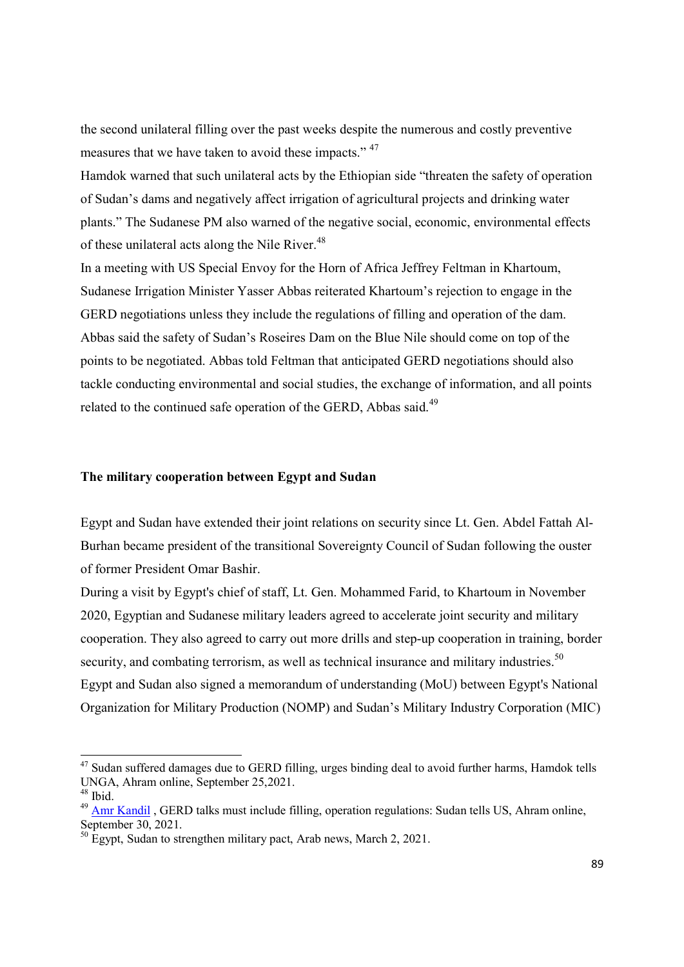the second unilateral filling over the past weeks despite the numerous and costly preventive measures that we have taken to avoid these impacts." <sup>47</sup>

Hamdok warned that such unilateral acts by the Ethiopian side "threaten the safety of operation of Sudan's dams and negatively affect irrigation of agricultural projects and drinking water plants." The Sudanese PM also warned of the negative social, economic, environmental effects of these unilateral acts along the Nile River.<sup>48</sup>

In a meeting with US Special Envoy for the Horn of Africa Jeffrey Feltman in Khartoum, Sudanese Irrigation Minister Yasser Abbas reiterated Khartoum's rejection to engage in the GERD negotiations unless they include the regulations of filling and operation of the dam. Abbas said the safety of Sudan's Roseires Dam on the Blue Nile should come on top of the points to be negotiated. Abbas told Feltman that anticipated GERD negotiations should also tackle conducting environmental and social studies, the exchange of information, and all points related to the continued safe operation of the GERD, Abbas said.<sup>49</sup>

### The military cooperation between Egypt and Sudan

Egypt and Sudan have extended their joint relations on security since Lt. Gen. Abdel Fattah Al-Burhan became president of the transitional Sovereignty Council of Sudan following the ouster of former President Omar Bashir.

During a visit by Egypt's chief of staff, Lt. Gen. Mohammed Farid, to Khartoum in November 2020, Egyptian and Sudanese military leaders agreed to accelerate joint security and military cooperation. They also agreed to carry out more drills and step-up cooperation in training, border security, and combating terrorism, as well as technical insurance and military industries.<sup>50</sup> Egypt and Sudan also signed a memorandum of understanding (MoU) between Egypt's National Organization for Military Production (NOMP) and Sudan's Military Industry Corporation (MIC)

<sup>&</sup>lt;sup>47</sup> Sudan suffered damages due to GERD filling, urges binding deal to avoid further harms, Hamdok tells UNGA, Ahram online, September 25,2021.

<sup>48</sup> Ibid.

<sup>&</sup>lt;sup>49</sup> Amr Kandil, GERD talks must include filling, operation regulations: Sudan tells US, Ahram online, September 30, 2021.

 $\frac{50}{30}$  Egypt, Sudan to strengthen military pact, Arab news, March 2, 2021.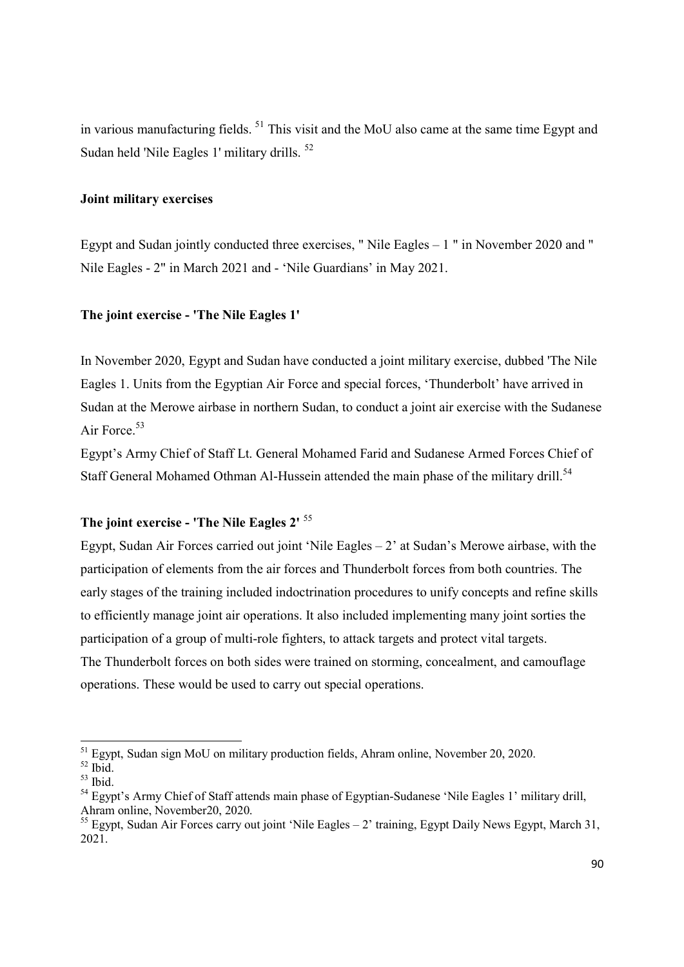in various manufacturing fields. <sup>51</sup> This visit and the MoU also came at the same time Egypt and Sudan held 'Nile Eagles 1' military drills. <sup>52</sup>

# Joint military exercises

Egypt and Sudan jointly conducted three exercises, " Nile Eagles – 1 " in November 2020 and " Nile Eagles - 2" in March 2021 and - 'Nile Guardians' in May 2021.

# The joint exercise - 'The Nile Eagles 1'

In November 2020, Egypt and Sudan have conducted a joint military exercise, dubbed 'The Nile Eagles 1. Units from the Egyptian Air Force and special forces, 'Thunderbolt' have arrived in Sudan at the Merowe airbase in northern Sudan, to conduct a joint air exercise with the Sudanese Air Force.<sup>53</sup>

Egypt's Army Chief of Staff Lt. General Mohamed Farid and Sudanese Armed Forces Chief of Staff General Mohamed Othman Al-Hussein attended the main phase of the military drill.<sup>54</sup>

# The joint exercise - 'The Nile Eagles 2' <sup>55</sup>

Egypt, Sudan Air Forces carried out joint 'Nile Eagles  $-2$ ' at Sudan's Merowe airbase, with the participation of elements from the air forces and Thunderbolt forces from both countries. The early stages of the training included indoctrination procedures to unify concepts and refine skills to efficiently manage joint air operations. It also included implementing many joint sorties the participation of a group of multi-role fighters, to attack targets and protect vital targets. The Thunderbolt forces on both sides were trained on storming, concealment, and camouflage operations. These would be used to carry out special operations.

<sup>&</sup>lt;sup>51</sup> Egypt, Sudan sign MoU on military production fields, Ahram online, November 20, 2020.

 $52$  Ibid.

 $53$  Ibid.

<sup>&</sup>lt;sup>54</sup> Egypt's Army Chief of Staff attends main phase of Egyptian-Sudanese 'Nile Eagles 1' military drill, Ahram online, November20, 2020.

 $<sup>55</sup>$  Egypt, Sudan Air Forces carry out joint 'Nile Eagles – 2' training, Egypt Daily News Egypt, March 31,</sup> 2021.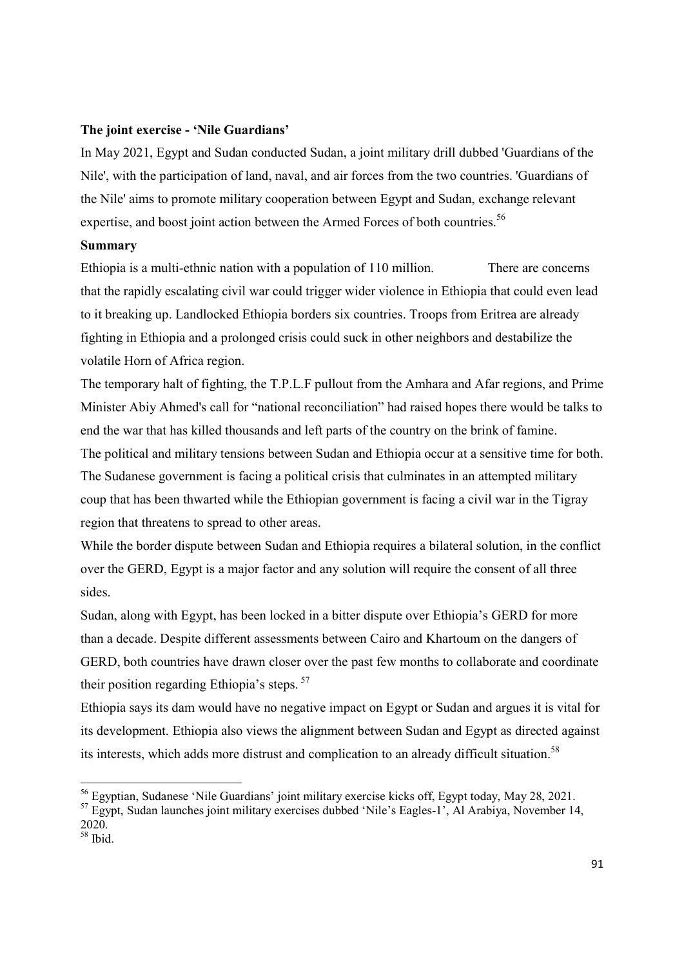### The joint exercise - 'Nile Guardians'

In May 2021, Egypt and Sudan conducted Sudan, a joint military drill dubbed 'Guardians of the Nile', with the participation of land, naval, and air forces from the two countries. 'Guardians of the Nile' aims to promote military cooperation between Egypt and Sudan, exchange relevant expertise, and boost joint action between the Armed Forces of both countries.<sup>56</sup>

# Summary

Ethiopia is a multi-ethnic nation with a population of 110 million. There are concerns that the rapidly escalating civil war could trigger wider violence in Ethiopia that could even lead to it breaking up. Landlocked Ethiopia borders six countries. Troops from Eritrea are already fighting in Ethiopia and a prolonged crisis could suck in other neighbors and destabilize the volatile Horn of Africa region.

The temporary halt of fighting, the T.P.L.F pullout from the Amhara and Afar regions, and Prime Minister Abiy Ahmed's call for "national reconciliation" had raised hopes there would be talks to end the war that has killed thousands and left parts of the country on the brink of famine.

The political and military tensions between Sudan and Ethiopia occur at a sensitive time for both. The Sudanese government is facing a political crisis that culminates in an attempted military coup that has been thwarted while the Ethiopian government is facing a civil war in the Tigray region that threatens to spread to other areas.

While the border dispute between Sudan and Ethiopia requires a bilateral solution, in the conflict over the GERD, Egypt is a major factor and any solution will require the consent of all three sides.

Sudan, along with Egypt, has been locked in a bitter dispute over Ethiopia's GERD for more than a decade. Despite different assessments between Cairo and Khartoum on the dangers of GERD, both countries have drawn closer over the past few months to collaborate and coordinate their position regarding Ethiopia's steps.  $57$ 

Ethiopia says its dam would have no negative impact on Egypt or Sudan and argues it is vital for its development. Ethiopia also views the alignment between Sudan and Egypt as directed against its interests, which adds more distrust and complication to an already difficult situation.<sup>58</sup>

<sup>56</sup> Egyptian, Sudanese 'Nile Guardians' joint military exercise kicks off, Egypt today, May 28, 2021.

<sup>&</sup>lt;sup>57</sup> Egypt, Sudan launches joint military exercises dubbed 'Nile's Eagles-1', Al Arabiya, November 14, 2020.

 $58$  Ibid.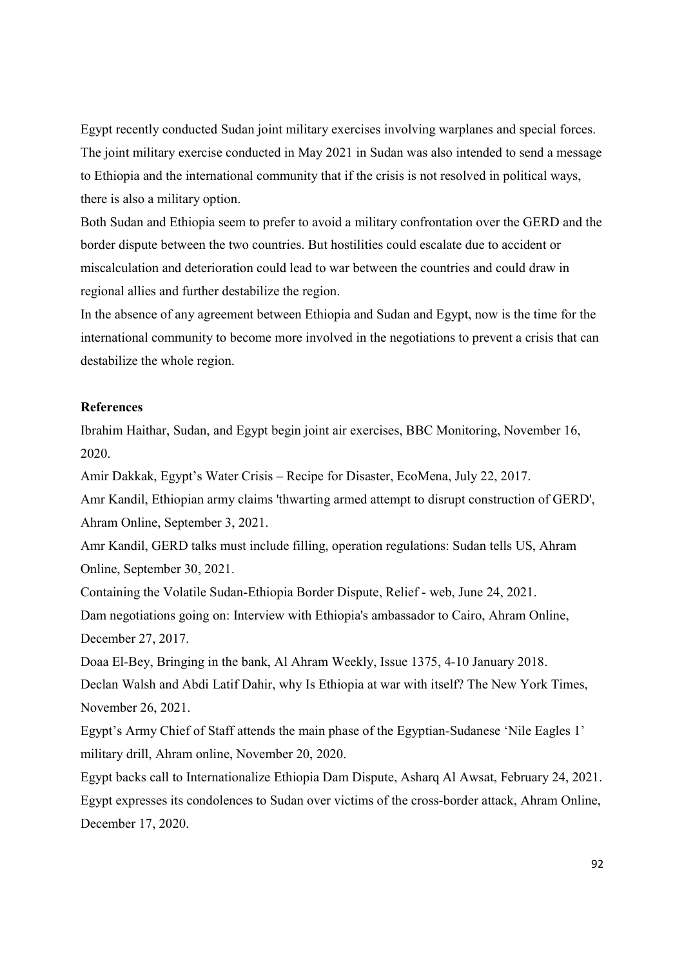Egypt recently conducted Sudan joint military exercises involving warplanes and special forces. The joint military exercise conducted in May 2021 in Sudan was also intended to send a message to Ethiopia and the international community that if the crisis is not resolved in political ways, there is also a military option.

Both Sudan and Ethiopia seem to prefer to avoid a military confrontation over the GERD and the border dispute between the two countries. But hostilities could escalate due to accident or miscalculation and deterioration could lead to war between the countries and could draw in regional allies and further destabilize the region.

In the absence of any agreement between Ethiopia and Sudan and Egypt, now is the time for the international community to become more involved in the negotiations to prevent a crisis that can destabilize the whole region.

# References

Ibrahim Haithar, Sudan, and Egypt begin joint air exercises, BBC Monitoring, November 16, 2020.

Amir Dakkak, Egypt's Water Crisis – Recipe for Disaster, EcoMena, July 22, 2017.

Amr Kandil, Ethiopian army claims 'thwarting armed attempt to disrupt construction of GERD', Ahram Online, September 3, 2021.

Amr Kandil, GERD talks must include filling, operation regulations: Sudan tells US, Ahram Online, September 30, 2021.

Containing the Volatile Sudan-Ethiopia Border Dispute, Relief - web, June 24, 2021. Dam negotiations going on: Interview with Ethiopia's ambassador to Cairo, Ahram Online, December 27, 2017.

Doaa El-Bey, Bringing in the bank, Al Ahram Weekly, Issue 1375, 4-10 January 2018. Declan Walsh and Abdi Latif Dahir, why Is Ethiopia at war with itself? The New York Times, November 26, 2021.

Egypt's Army Chief of Staff attends the main phase of the Egyptian-Sudanese 'Nile Eagles 1' military drill, Ahram online, November 20, 2020.

Egypt backs call to Internationalize Ethiopia Dam Dispute, Asharq Al Awsat, February 24, 2021. Egypt expresses its condolences to Sudan over victims of the cross-border attack, Ahram Online, December 17, 2020.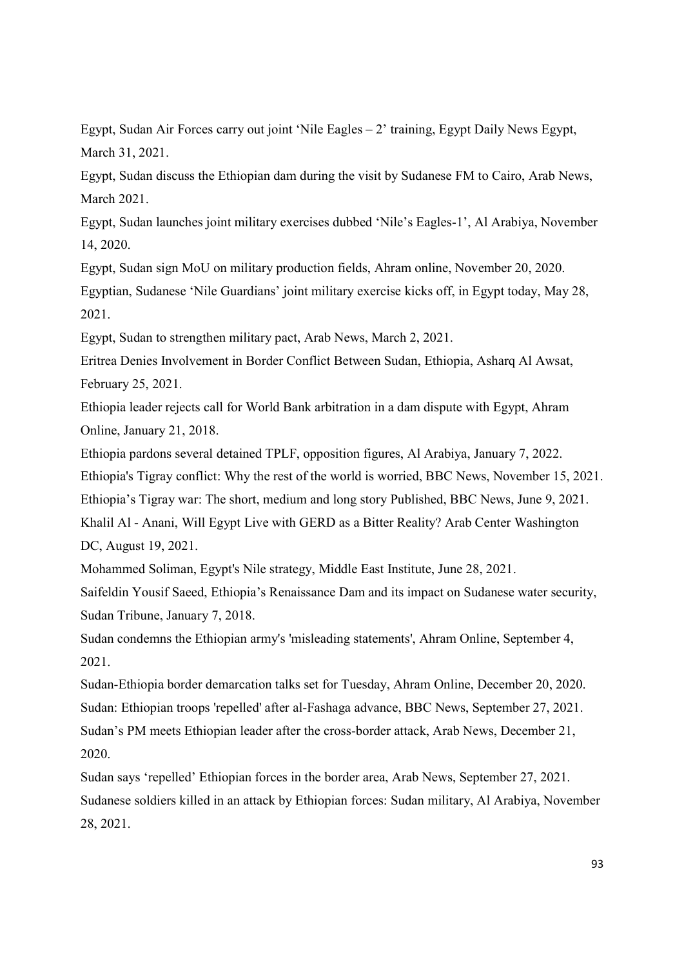Egypt, Sudan Air Forces carry out joint 'Nile Eagles – 2' training, Egypt Daily News Egypt, March 31, 2021.

Egypt, Sudan discuss the Ethiopian dam during the visit by Sudanese FM to Cairo, Arab News, March 2021.

Egypt, Sudan launches joint military exercises dubbed 'Nile's Eagles-1', Al Arabiya, November 14, 2020.

Egypt, Sudan sign MoU on military production fields, Ahram online, November 20, 2020. Egyptian, Sudanese 'Nile Guardians' joint military exercise kicks off, in Egypt today, May 28, 2021.

Egypt, Sudan to strengthen military pact, Arab News, March 2, 2021.

Eritrea Denies Involvement in Border Conflict Between Sudan, Ethiopia, Asharq Al Awsat, February 25, 2021.

Ethiopia leader rejects call for World Bank arbitration in a dam dispute with Egypt, Ahram Online, January 21, 2018.

Ethiopia pardons several detained TPLF, opposition figures, Al Arabiya, January 7, 2022. Ethiopia's Tigray conflict: Why the rest of the world is worried, BBC News, November 15, 2021. Ethiopia's Tigray war: The short, medium and long story Published, BBC News, June 9, 2021. Khalil Al - Anani, Will Egypt Live with GERD as a Bitter Reality? Arab Center Washington DC, August 19, 2021.

Mohammed Soliman, Egypt's Nile strategy, Middle East Institute, June 28, 2021.

Saifeldin Yousif Saeed, Ethiopia's Renaissance Dam and its impact on Sudanese water security, Sudan Tribune, January 7, 2018.

Sudan condemns the Ethiopian army's 'misleading statements', Ahram Online, September 4, 2021.

Sudan-Ethiopia border demarcation talks set for Tuesday, Ahram Online, December 20, 2020. Sudan: Ethiopian troops 'repelled' after al-Fashaga advance, BBC News, September 27, 2021. Sudan's PM meets Ethiopian leader after the cross-border attack, Arab News, December 21, 2020.

Sudan says 'repelled' Ethiopian forces in the border area, Arab News, September 27, 2021. Sudanese soldiers killed in an attack by Ethiopian forces: Sudan military, Al Arabiya, November 28, 2021.